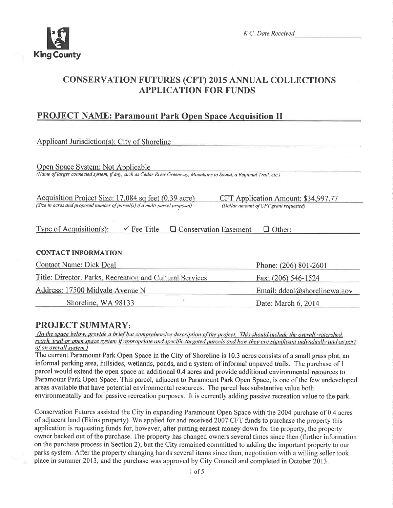

## **CONSERVATION FUTURES (CFT) 2015 ANNUAL COLLECTIONS APPLICATION FOR FUNDS**

## **PROJECT NAME: Paramount Park Open Space Acquisition II**

| Applicant Jurisdiction(s): City of Shoreline                                                                                                                                                                         |                                          |  |  |  |
|----------------------------------------------------------------------------------------------------------------------------------------------------------------------------------------------------------------------|------------------------------------------|--|--|--|
| Open Space System: Not Applicable<br>(Name of larger connected system, if any, such as Cedar River Greenway, Mountains to Sound, a Regional Trail, etc.)                                                             |                                          |  |  |  |
| Acquisition Project Size: 17,084 sq feet (0.39 acre)<br>CFT Application Amount: \$34,997.77<br>(Size in acres and proposed number of parcel(s) if a multi-parcel proposal)<br>(Dollar amount of CFT grant requested) |                                          |  |  |  |
| $\checkmark$ Fee Title<br>Type of Acquisition(s):<br><b>Q</b> Conservation Easement<br>$\Box$ Other:                                                                                                                 |                                          |  |  |  |
| <b>CONTACT INFORMATION</b>                                                                                                                                                                                           |                                          |  |  |  |
| <b>Contact Name: Dick Deal</b>                                                                                                                                                                                       | Phone: (206) 801-2601                    |  |  |  |
| Title: Director, Parks, Recreation and Cultural Services                                                                                                                                                             | Fax: (206) 546-1524                      |  |  |  |
| Address: 17500 Midvale Avenue N                                                                                                                                                                                      | Email: $ddeal(\partial s$ horelinewa.gov |  |  |  |
| Shoreline, WA 98133                                                                                                                                                                                                  | Date: March 6, 2014                      |  |  |  |

### **PROJECT SUMMARY:**

(In the space below, provide a brief but comprehensive description of the project. This should include the overall watershed, reach, trail or open space system if appropriate and specific targeted parcels and how they are significant individually and as part of an overall system.)

The current Paramount Park Open Space in the City of Shoreline is 10.3 acres consists of a small grass plot, an informal parking area, hillsides, wetlands, ponds, and a system of informal unpaved trails. The purchase of 1 parcel would extend the open space an additional 0.4 acres and provide additional environmental resources to Paramount Park Open Space. This parcel, adjacent to Paramount Park Open Space, is one of the few undeveloped areas available that have potential environmental resources. The parcel has substantive value both environmentally and for passive recreation purposes. It is currently adding passive recreation value to the park.

Conservation Futures assisted the City in expanding Paramount Open Space with the 2004 purchase of 0.4 acres of adjacent land (Ekins property). We applied for and received 2007 CFT funds to purchase the property this application is requesting funds for, however, after putting earnest money down for the property, the property owner backed out of the purchase. The property has changed owners several times since then (further information on the purchase process in Section 2); but the City remained committed to adding the important property to our parks system. After the property changing hands several items since then, negotiation with a willing seller took place in summer 2013, and the purchase was approved by City Council and completed in October 2013.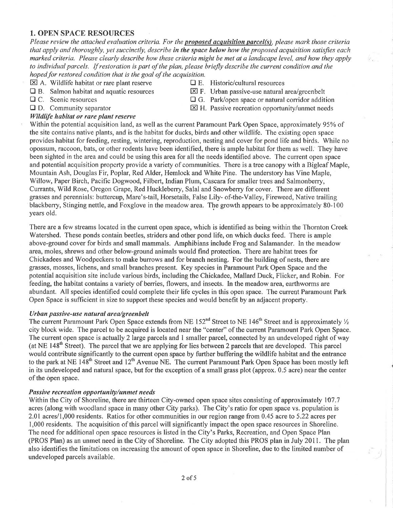#### 1. OPEN SPACE RESOURCES

Please review the attached evaluation criteria. For the **proposed acquisition parcel(s)**, please mark those criteria that apply and thoroughly, yet succinctly, describe in the space below how the proposed acquisition satisfies each marked criteria, Please clearly describe how these criteria might be met at a landscape level, and how they apply to individual parcels. If restoration is part of the plan, please briefly describe the current condition and the hoped for restored condition that is the goal of the acquisition.

- 
- $\boxtimes$  A. Wildlife habitat or rare plant reserve  $\Box$  E. Historic/cultural resources  $\Box$  B. Salmon habitat and aquatic resources  $\boxtimes$  F. Urban passive-use natural
- 
- 

#### Wildlife habitat or rare plant reserve

- 
- **the B.** Salmon habitat and aquatic resources **EX** F. Urban passive-use natural area/greenbelt **E** C. Scenic resources **E** G. Park/open space or natural corridor addit
	- $\Box$  G. Park/open space or natural corridor addition
- $\Box$  D. Community separator  $\boxtimes$  H. Passive recreation opportunity/unmet needs

Within the potential acquisition land, as well as the current Paramount Park Open Space, approximately 95% of the site contains native plants, and is the habitat for ducks, birds and other wildlife. The existing open space provides habitat for feeding, resting, wintering, reproduction, nesting and cover for pond life and birds. While no opossum, raccoon, bats, or other rodents have been identified, there is ample habitat for them as well. They have been sighted in the area and could be using this area for all the needs identified above. The curent open space and potential acquisition property provide a variety of communities. There is a tree canopy with a Bigleaf Maple, Mountain Ash, Douglas Fir, Poplar, Red Alder, Hemlock and White Pine. The understory has Vine Maple, Willow, Paper Birch, Pacific Dogwood, Filbert, Indian Plum, Cascara for smaller trees and Salmonbeny, Currants, Wild Rose, Oregon Grape, Red Huckleberry, Salal and Snowberry for cover. There are different grasses and perennials: buttercup, Mare's-tail, Horsetails, False Lily- of-the-Valley, Fireweed, Native trailing blackberry, Stinging nettle, and Foxglove in the meadow area. The growth appears to be approximately 80-100 years old.

There are a few streams located in the current open space, which is identified as being within the Thornton Creek Watershed. These ponds contain beetles, striders and other pond life, on which ducks feed. There is ample above-ground cover for birds and small mammals. Amphibians include Frog and Salamander. In the meadow area, moles, shrews and other below-ground animals would frnd protection. There are habitat trees for Chickadees and Woodpeckers to make burrows and for branch nesting. For the building of nests, there are grasses, mosses, lichens, and small branches present. Key species in Paramount Park Open Space and the potential acquisition site include various birds, including the Chickadee, Mallard Duck, Flicker, and Robin. For feeding, the habitat contains a variety of berries, flowers, and insects. ln the meadow area, earthworms are abundant. All species identifred could complete their life cycles in this open space. The current Paramount Park Open Space is sufficient in size to support these species and would benefit by an adjacent propefty.

#### Urban passive-use natural area/greenbelt

The current Paramount Park Open Space extends from NE 152<sup>nd</sup> Street to NE 146<sup>th</sup> Street and is approximately  $\frac{1}{2}$ city block wide. The parcel to be acquired is located near the "center" of the current Paramount Park Open Space. The current open space is actually 2 large parcels and 1 smaller parcel, connected by an undeveloped right of way (at NE 148<sup>th</sup> Street). The parcel that we are applying for lies between 2 parcels that are developed. This parcel would contribute significantly to the current open space by further buffering the wildlife habitat and the entrance to the park at NE 148<sup>th</sup> Street and 12<sup>th</sup> Avenue NE. The current Paramount Park Open Space has been mostly left in its undeveloped and natural space, but for the exception of a small grass plot (approx. 0.5 acre) near the center of the open space.

#### Passive recreation opportunity/unmet needs

Within the City of Shoreline, there are thirteen City-owned open space sites consisting of approximately 107.7 acres (along with woodland space in many other City parks). The City's ratio for open space vs. population is 2.01 acres/1,000 residents. Ratios for other communities in our region range from 0.45 acre to 5.22 acres per 1,000 residents. The acquisition of this parcelwill significantly impact the open space resources in Shoreline. The need for additional open space resources is listed in the City's Parks, Recreation, and Open Space Plan (PROS Plan) as an unmet need in the City of Shoreline. The City adopted this PROS plan in July 2011. The plan also identifies the limitations on increasing the amount of open space in Shoreline, due to the limited number of undeveloped parcels available.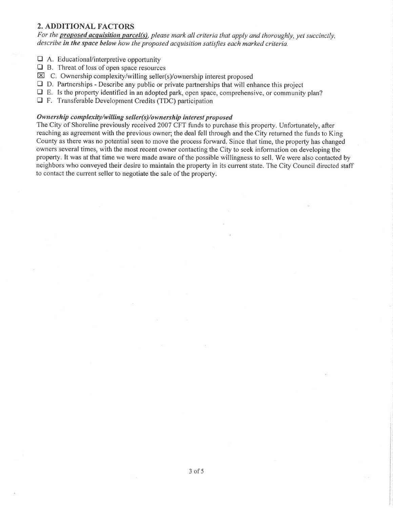#### 2. ADDITIONAL FACTORS

For the **proposed acquisition parcel(s)**, please mark all criteria that apply and thoroughly, yet succinctly, describe in the space below how the proposed acquisition satisfies each marked criteria.

- $\Box$  A. Educational/interpretive opportunity
- $\Box$  B. Threat of loss of open space resources
- $\boxtimes$  C. Ownership complexity/willing seller(s)/ownership interest proposed
- $\Box$  D. Partnerships Describe any public or private partnerships that will enhance this project
- $\Box$  E. Is the property identified in an adopted park, open space, comprehensive, or community plan?
- $\Box$  F. Transferable Development Credits (TDC) participation

#### Owners hìp complexity/willing seller(s)/ownership interest proposed

The City of Shoreline previously received 2007 CFT funds to purchase this property. Unfortunately, after reaching as agreement with the previous owner; the deal fell through and the City returned the funds to King County as there was no potential seen to move the process forward. Since that time, the property has changed owners several times, with the most recent owner contacting the City to seek information on developing the properfy. It was at that time we were made aware of the possible willingness to sell. We were also contacted by neighbors who conveyed their desire to maintain the property in its cument state. The City Council directed staff to contact the current seller to negotiate the sale of the property.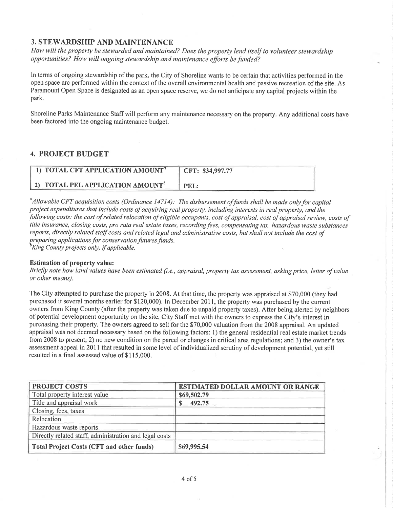#### 3. STEWARDSHIP AND MAINTENANCE

How will the property be stewarded and maintained? Does the property lend itself to volunteer stewardship opportunities? How will ongoing stewardship and maintenance efforts be funded?

ln terms of ongoing stewardship of the park, the City of Shoreline wants to be certain that activities performed in the open space are performed within the context of the overall environmental health and passive recreation of the site. As Paramount Open Space is designated as an open space reserve, we do not anticipate any capital projects within the park.

Shoreline Parks Maintenance Staff will perform any maintenance necessary on the property. Any additional costs have been factored into the ongoing maintenance budget.

#### 4. PROJECT BUDGET

| 1) TOTAL CFT APPLICATION AMOUNT <sup>a</sup> | CFT: \$34,997.77 |
|----------------------------------------------|------------------|
| 2) TOTAL PEL APPLICATION AMOUNT <sup>®</sup> | PEL:             |

<sup>a</sup> Allowable CFT acquisition costs (Ordinance 14714): The disbursement of funds shall be made only for capital proiect expenditures that include costs of acquiring real property, including interests in real property, and the following costs: the cost of related relocation of eligible occupants, cost of appraisal, cost of appraisal review, costs of title insurance, closing costs, pro rata real estate taxes, recording fees, compensating tax, hazardous waste substances reports, directly related staff costs and related legal and administrative costs, but shall not include the cost of preparing applications for conservation futures funds.<br><sup>b</sup>King County projects only, if applicable.

#### Estimation of property value:

Briefly nole how land values have been estimated (i.e., appraisal, property tax assessment, asking price, letter of value or other means).

The City attempted to purchase the property in 2008. At that time, the property was appraised at \$70,000 (they had purchased it several months earlier for \$120,000). In December 2011, the property was purchased by the current owners from King County (after the property was taken due to unpaid property taxes). After being alerted by neighbors of potential development opportunity on the site, City Staff met with the owners to express the City's interest in purchasing their property. The owners agreed to sell for the \$70,000 valuation from the 2008 appraisal. An updated appraisal was not deemed necessary based on the following factors: l) the general residential real estate market trends from 2008 to present; 2) no new condition on the parcel or changes in critical area regulations; and 3) the owner's tax assessment appeal in 201I that resulted in some level of individualized scrutiny of development potential, yet still resulted in a final assessed value of \$115,000.

| <b>PROJECT COSTS</b>                                   | <b>ESTIMATED DOLLAR AMOUNT OR RANGE</b> |
|--------------------------------------------------------|-----------------------------------------|
| Total property interest value                          | \$69,502.79                             |
| Title and appraisal work                               | 492.75<br>S.                            |
| Closing, fees, taxes                                   |                                         |
| Relocation                                             |                                         |
| Hazardous waste reports                                |                                         |
| Directly related staff, administration and legal costs |                                         |
| Total Project Costs (CFT and other funds)              | \$69,995.54                             |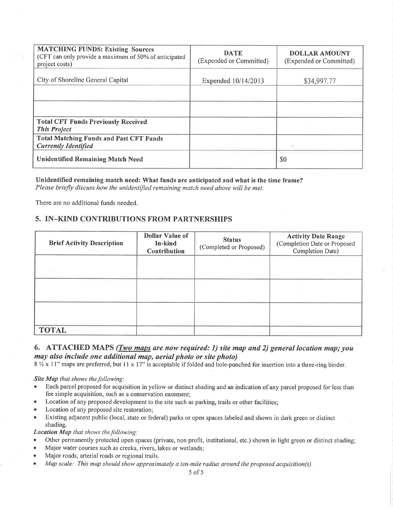| <b>MATCHING FUNDS: Existing Sources</b><br>(CFT can only provide a maximum of 50% of anticipated<br>project costs) | <b>DATE</b><br>(Expended or Committed) | <b>DOLLAR AMOUNT</b><br>(Expended or Committed) |
|--------------------------------------------------------------------------------------------------------------------|----------------------------------------|-------------------------------------------------|
| City of Shoreline General Capital                                                                                  | Expended 10/14/2013                    | \$34,997.77                                     |
|                                                                                                                    |                                        |                                                 |
| <b>Total CFT Funds Previously Received</b>                                                                         |                                        |                                                 |
| <b>This Project</b>                                                                                                |                                        |                                                 |
| <b>Total Matching Funds and Past CFT Funds</b><br><b>Currently Identified</b>                                      |                                        |                                                 |
| <b>Unidentified Remaining Match Need</b>                                                                           |                                        | \$0                                             |

Unidentified remaining match need: What funds are anticipated and what is the time frame? Please briefly discuss how the unidentified remaining match need above will be met.

There are no additional funds needed.

#### 5. IN-KIND CONTRIBUTIONS FROM PARTNERSHIPS

| <b>Brief Activity Description</b> | Dollar Value of<br>In-kind<br>Contribution | <b>Status</b><br>(Completed or Proposed) | <b>Activity Date Range</b><br>(Completion Date or Proposed<br>Completion Date) |
|-----------------------------------|--------------------------------------------|------------------------------------------|--------------------------------------------------------------------------------|
|                                   |                                            |                                          |                                                                                |
|                                   |                                            |                                          |                                                                                |
|                                   |                                            |                                          |                                                                                |
| <b>TOTAL</b>                      |                                            |                                          |                                                                                |

#### 6. ATTACHED MAPS (*Two maps are now required: 1*) site map and 2) general location map; you may also include one additional map, aerial photo or site photo)

 $8\frac{1}{2} \times 11$ " maps are preferred, but 11 x 17" is acceptable if folded and hole-punched for insertion into a three-ring binder.

Site Map that shows the following:

- Each parcel proposed for acquisition in yellow or distinct shading and an indication of any parcel proposed for less than  $\bullet$ fee simple acquisition, such as a conservation easement;
- Location of any proposed development to the site such as parking, trails or other facilities;
- Location of any proposed site restoration;
- Existing adjacent public (local, state or federal) parks or open spaces labeled and shown in dark green or distinct  $\bullet$ shading.

**Location Map that shows the following:** 

- Other permanently protected open spaces (private, non profit, institutional, etc.) shown in light green or distinct shading;
- Major water courses such as creeks, rivers, lakes or wetlands;
- Major roads, arterial roads or regional trails.
- Map scale: This map should show approximately a ten-mile radius around the proposed acquisition(s).  $\bullet$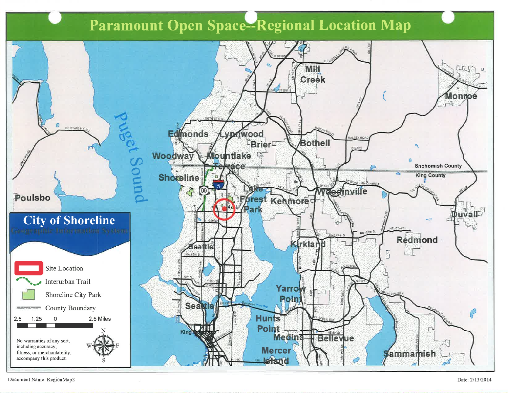# **Paramount Open Space--Regional Location Map**



Document Name: RegionMap2